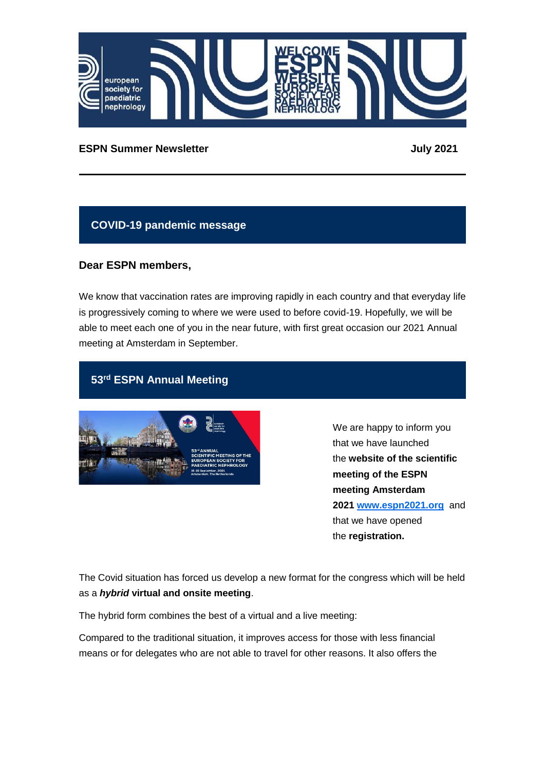

#### **ESPN Summer Newsletter July 2021**

#### **COVID-19 pandemic message**

#### **Dear ESPN members,**

We know that vaccination rates are improving rapidly in each country and that everyday life is progressively coming to where we were used to before covid-19. Hopefully, we will be able to meet each one of you in the near future, with first great occasion our 2021 Annual meeting at Amsterdam in September.

# **53rd ESPN Annual Meeting**



We are happy to inform you that we have launched the **website of the scientific meeting of the ESPN meeting Amsterdam 2021 [www.espn2021.org](http://www.espn2021.org/)** and that we have opened the **registration.**

The Covid situation has forced us develop a new format for the congress which will be held as a *hybrid* **virtual and onsite meeting**.

The hybrid form combines the best of a virtual and a live meeting:

Compared to the traditional situation, it improves access for those with less financial means or for delegates who are not able to travel for other reasons. It also offers the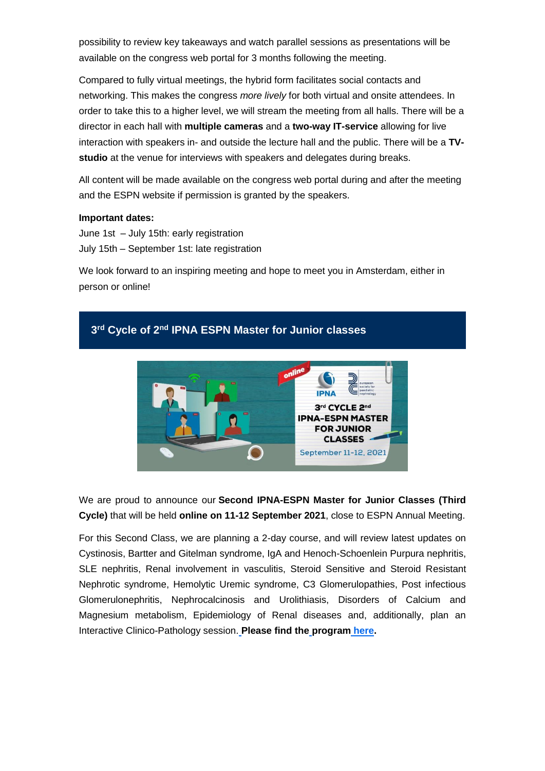possibility to review key takeaways and watch parallel sessions as presentations will be available on the congress web portal for 3 months following the meeting.

Compared to fully virtual meetings, the hybrid form facilitates social contacts and networking. This makes the congress *more lively* for both virtual and onsite attendees. In order to take this to a higher level, we will stream the meeting from all halls. There will be a director in each hall with **multiple cameras** and a **two-way IT-service** allowing for live interaction with speakers in- and outside the lecture hall and the public. There will be a **TVstudio** at the venue for interviews with speakers and delegates during breaks.

All content will be made available on the congress web portal during and after the meeting and the ESPN website if permission is granted by the speakers.

#### **Important dates:**

June 1st – July 15th: early registration July 15th – September 1st: late registration

We look forward to an inspiring meeting and hope to meet you in Amsterdam, either in person or online!



We are proud to announce our **Second IPNA-ESPN Master for Junior Classes (Third Cycle)** that will be held **online on 11-12 September 2021**, close to ESPN Annual Meeting.

For this Second Class, we are planning a 2-day course, and will review latest updates on Cystinosis, Bartter and Gitelman syndrome, IgA and Henoch-Schoenlein Purpura nephritis, SLE nephritis, Renal involvement in vasculitis, Steroid Sensitive and Steroid Resistant Nephrotic syndrome, Hemolytic Uremic syndrome, C3 Glomerulopathies, Post infectious Glomerulonephritis, Nephrocalcinosis and Urolithiasis, Disorders of Calcium and Magnesium metabolism, Epidemiology of Renal diseases and, additionally, plan an Interactive Clinico-Pathology session[.](http://www.espn-online.org/wp-content/uploads/2021/03/Junior-Class-2021_v2-.pdf) **Please find th[e](http://www.espn-online.org/wp-content/uploads/2021/05/IPNA-ESPN-Junior-Master-Class-2021_teachers-.pdf) program [here.](https://www.espn-online.org/wp-content/uploads/2021/05/IPNA-ESPN-Junior-Master-Class-2021_teachers-.pdf)**

# **3 rd Cycle of 2nd IPNA ESPN Master for Junior classes**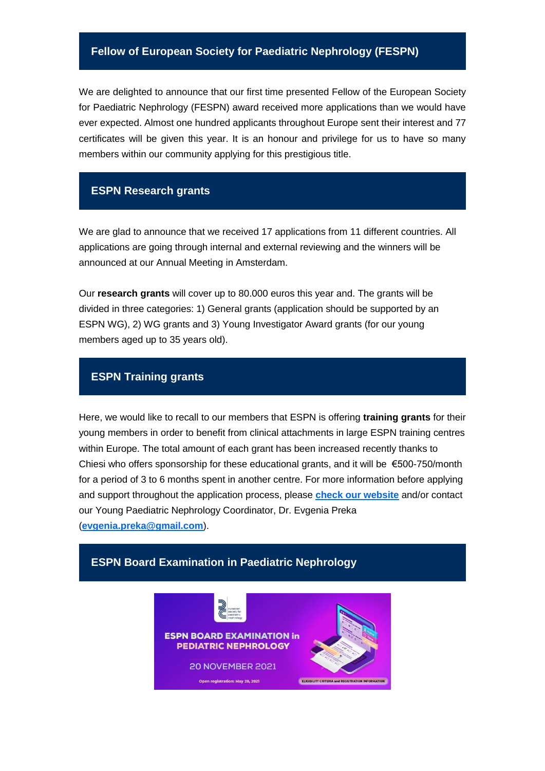#### **Fellow of European Society for Paediatric Nephrology (FESPN)**

We are delighted to announce that our first time presented Fellow of the European Society for Paediatric Nephrology (FESPN) award received more applications than we would have ever expected. Almost one hundred applicants throughout Europe sent their interest and 77 certificates will be given this year. It is an honour and privilege for us to have so many members within our community applying for this prestigious title.

#### **ESPN Research grants**

We are glad to announce that we received 17 applications from 11 different countries. All applications are going through internal and external reviewing and the winners will be announced at our Annual Meeting in Amsterdam.

Our **research grants** will cover up to 80.000 euros this year and. The grants will be divided in three categories: 1) General grants (application should be supported by an ESPN WG), 2) WG grants and 3) Young Investigator Award grants (for our young members aged up to 35 years old).

#### **ESPN Training grants**

Here, we would like to recall to our members that ESPN is offering **training grants** for their young members in order to benefit from clinical attachments in large ESPN training centres within Europe. The total amount of each grant has been increased recently thanks to Chiesi who offers sponsorship for these educational grants, and it will be €500-750/month for a period of 3 to 6 months spent in another centre. For more information before applying and support throughout the application process, please **[check our website](https://www.espn-online.org/training/)** and/or contact our Young Paediatric Nephrology Coordinator, Dr. Evgenia Preka (**[evgenia.preka@gmail.com](mailto:evgenia.preka@gmail.com)**).

# **ESPN BOARD EXAMINATION in PEDIATRIC NEPHROLOGY 20 NOVEMBER 2021** ELIGIBILITY CRITERIA and REGISTRATION INFORMA Open registration: May 20, 2021

**ESPN Board Examination in Paediatric Nephrology**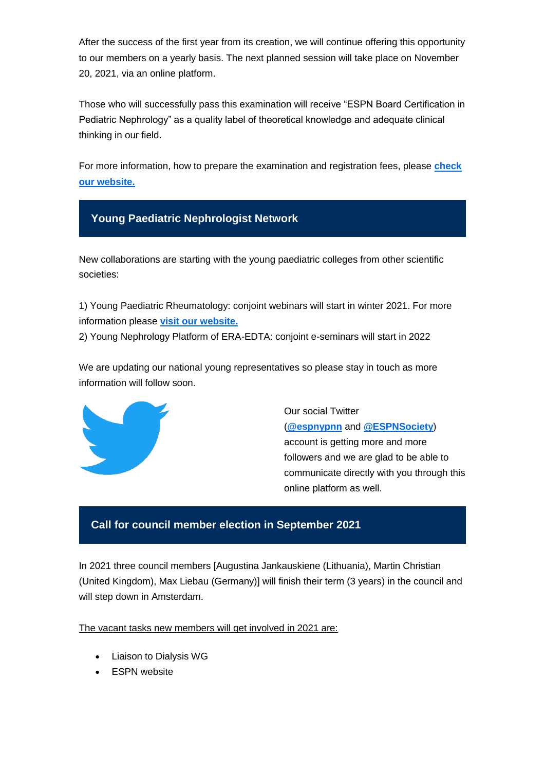After the success of the first year from its creation, we will continue offering this opportunity to our members on a yearly basis. The next planned session will take place on November 20, 2021, via an online platform.

Those who will successfully pass this examination will receive "ESPN Board Certification in Pediatric Nephrology" as a quality label of theoretical knowledge and adequate clinical thinking in our field.

For more information, how to prepare the examination and registration fees, please **[check](https://www.espn-online.org/espn-board-examination/)  [our website.](https://www.espn-online.org/espn-board-examination/)**



New collaborations are starting with the young paediatric colleges from other scientific societies:

1) Young Paediatric Rheumatology: conjoint webinars will start in winter 2021. For more information please **[visit our website.](https://www.espn-online.org/young-nephrologists-platform/)**

2) Young Nephrology Platform of ERA-EDTA: conjoint e-seminars will start in 2022

We are updating our national young representatives so please stay in touch as more information will follow soon.



Our social Twitter (**[@espnypnn](https://twitter.com/espnypnn)** and **[@ESPNSociety](https://twitter.com/ESPNSociety)**) account is getting more and more followers and we are glad to be able to communicate directly with you through this online platform as well.

### **Call for council member election in September 2021**

In 2021 three council members [Augustina Jankauskiene (Lithuania), Martin Christian (United Kingdom), Max Liebau (Germany)] will finish their term (3 years) in the council and will step down in Amsterdam.

The vacant tasks new members will get involved in 2021 are:

- Liaison to Dialysis WG
- ESPN website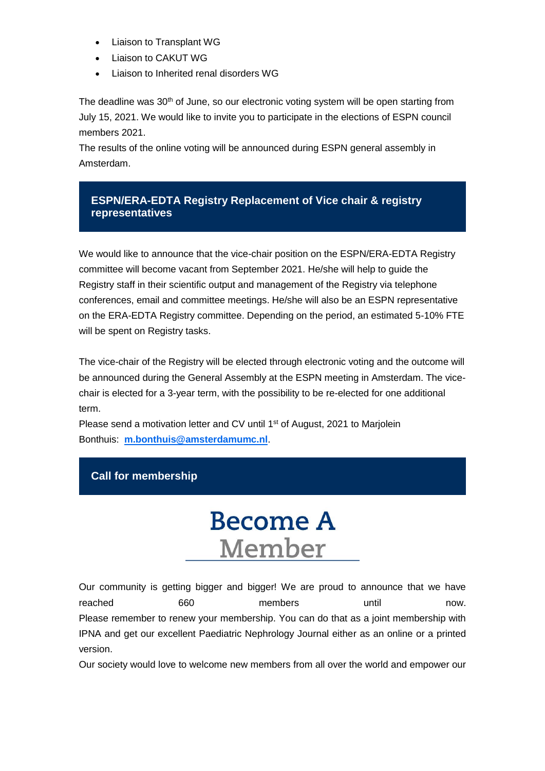- Liaison to Transplant WG
- Liaison to CAKUT WG
- Liaison to Inherited renal disorders WG

The deadline was 30<sup>th</sup> of June, so our electronic voting system will be open starting from July 15, 2021. We would like to invite you to participate in the elections of ESPN council members 2021.

The results of the online voting will be announced during ESPN general assembly in Amsterdam.

# **ESPN/ERA-EDTA Registry Replacement of Vice chair & registry representatives**

We would like to announce that the vice-chair position on the ESPN/ERA-EDTA Registry committee will become vacant from September 2021. He/she will help to guide the Registry staff in their scientific output and management of the Registry via telephone conferences, email and committee meetings. He/she will also be an ESPN representative on the ERA-EDTA Registry committee. Depending on the period, an estimated 5-10% FTE will be spent on Registry tasks.

The vice-chair of the Registry will be elected through electronic voting and the outcome will be announced during the General Assembly at the ESPN meeting in Amsterdam. The vicechair is elected for a 3-year term, with the possibility to be re-elected for one additional term.

Please send a motivation letter and CV until 1<sup>st</sup> of August, 2021 to Marjolein Bonthuis: **[m.bonthuis@amsterdamumc.nl](mailto:m.bonthuis@amsterdamumc.nl)**.

# **Call for membership**

# **Become A** Member

Our community is getting bigger and bigger! We are proud to announce that we have reached 660 members until now. Please remember to renew your membership. You can do that as a joint membership with IPNA and get our excellent Paediatric Nephrology Journal either as an online or a printed version.

Our society would love to welcome new members from all over the world and empower our